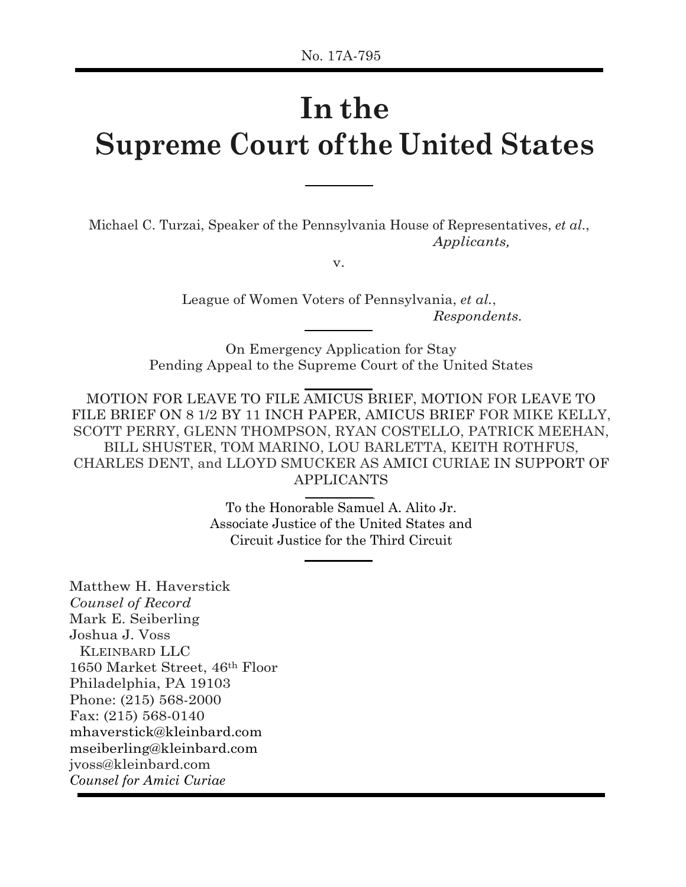# **In the Supreme Court of the United States**

Michael C. Turzai, Speaker of the Pennsylvania House of Representatives, *et al*., *Applicants,*

v.

League of Women Voters of Pennsylvania, *et al.*, *Respondents.*

On Emergency Application for Stay Pending Appeal to the Supreme Court of the United States

MOTION FOR LEAVE TO FILE AMICUS BRIEF, MOTION FOR LEAVE TO FILE BRIEF ON 8 1/2 BY 11 INCH PAPER, AMICUS BRIEF FOR MIKE KELLY, SCOTT PERRY, GLENN THOMPSON, RYAN COSTELLO, PATRICK MEEHAN, BILL SHUSTER, TOM MARINO, LOU BARLETTA, KEITH ROTHFUS, CHARLES DENT, and LLOYD SMUCKER AS AMICI CURIAE IN SUPPORT OF APPLICANTS

> To the Honorable Samuel A. Alito Jr. Associate Justice of the United States and Circuit Justice for the Third Circuit

Matthew H. Haverstick *Counsel of Record*  Mark E. Seiberling Joshua J. Voss KLEINBARD LLC 1650 Market Street, 46th Floor Philadelphia, PA 19103 Phone: (215) 568-2000 Fax: (215) 568-0140 mhaverstick@kleinbard.com mseiberling@kleinbard.com jvoss@kleinbard.com *Counsel for Amici Curiae*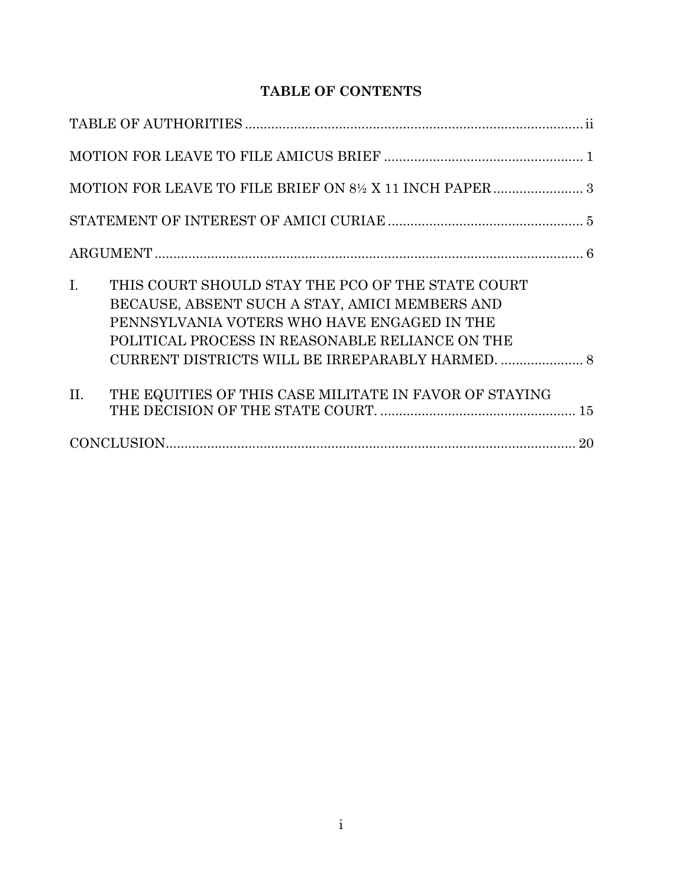# **TABLE OF CONTENTS**

| I.<br>THIS COURT SHOULD STAY THE PCO OF THE STATE COURT<br>BECAUSE, ABSENT SUCH A STAY, AMICI MEMBERS AND<br>PENNSYLVANIA VOTERS WHO HAVE ENGAGED IN THE<br>POLITICAL PROCESS IN REASONABLE RELIANCE ON THE |
|-------------------------------------------------------------------------------------------------------------------------------------------------------------------------------------------------------------|
| THE EQUITIES OF THIS CASE MILITATE IN FAVOR OF STAYING<br>II.                                                                                                                                               |
|                                                                                                                                                                                                             |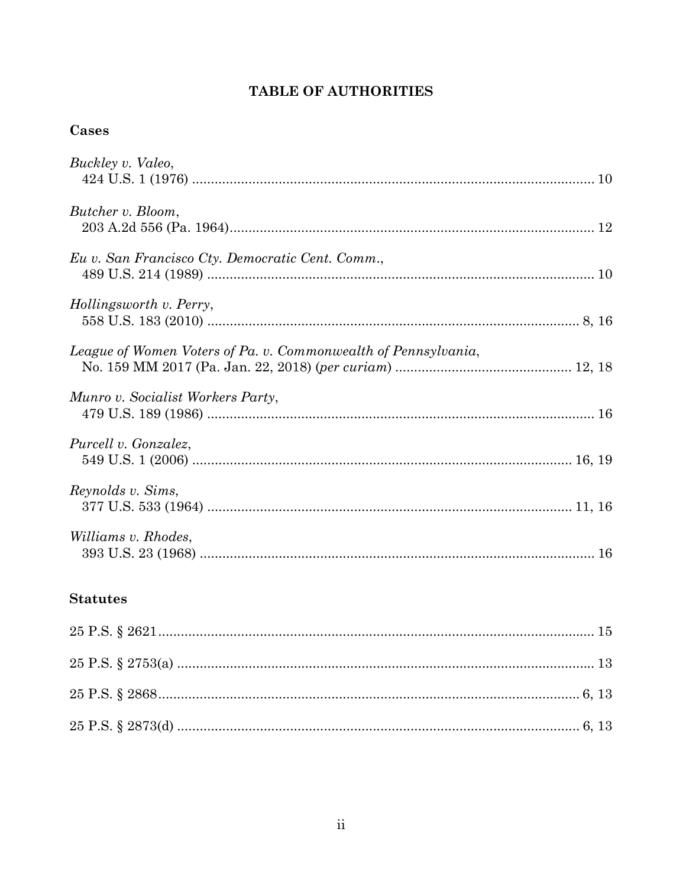## TABLE OF AUTHORITIES

# Cases

| Buckley v. Valeo,                                              |
|----------------------------------------------------------------|
| Butcher v. Bloom,                                              |
| Eu v. San Francisco Cty. Democratic Cent. Comm.,               |
| Hollingsworth v. Perry,                                        |
| League of Women Voters of Pa. v. Commonwealth of Pennsylvania, |
| Munro v. Socialist Workers Party,                              |
| Purcell v. Gonzalez,                                           |
| Reynolds v. Sims,                                              |
| Williams v. Rhodes,                                            |

### **Statutes**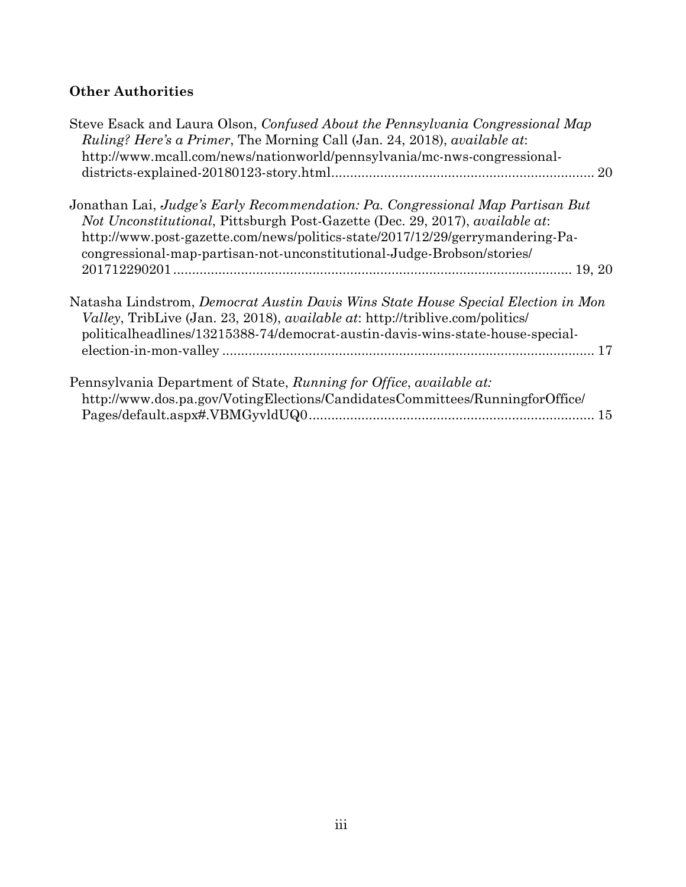# **Other Authorities**

| Natasha Lindstrom, Democrat Austin Davis Wins State House Special Election in Mon |
|-----------------------------------------------------------------------------------|
|                                                                                   |
|                                                                                   |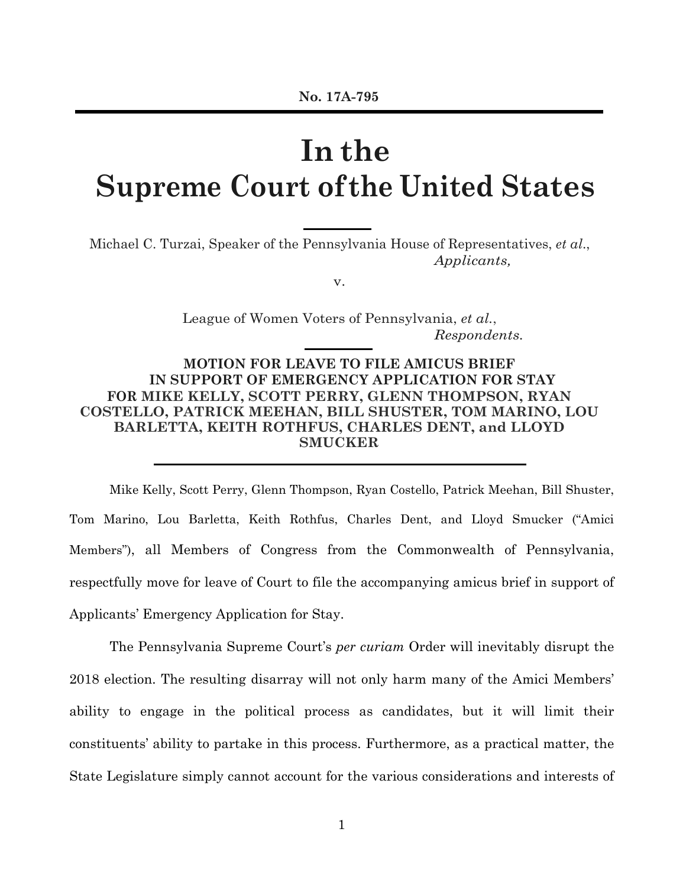# **In the Supreme Court of the United States**

Michael C. Turzai, Speaker of the Pennsylvania House of Representatives, *et al*., *Applicants,*

v.

League of Women Voters of Pennsylvania, *et al.*, *Respondents.*

**MOTION FOR LEAVE TO FILE AMICUS BRIEF IN SUPPORT OF EMERGENCY APPLICATION FOR STAY FOR MIKE KELLY, SCOTT PERRY, GLENN THOMPSON, RYAN COSTELLO, PATRICK MEEHAN, BILL SHUSTER, TOM MARINO, LOU BARLETTA, KEITH ROTHFUS, CHARLES DENT, and LLOYD SMUCKER**

Mike Kelly, Scott Perry, Glenn Thompson, Ryan Costello, Patrick Meehan, Bill Shuster, Tom Marino, Lou Barletta, Keith Rothfus, Charles Dent, and Lloyd Smucker ("Amici Members"), all Members of Congress from the Commonwealth of Pennsylvania, respectfully move for leave of Court to file the accompanying amicus brief in support of Applicants' Emergency Application for Stay.

The Pennsylvania Supreme Court's *per curiam* Order will inevitably disrupt the 2018 election. The resulting disarray will not only harm many of the Amici Members' ability to engage in the political process as candidates, but it will limit their constituents' ability to partake in this process. Furthermore, as a practical matter, the State Legislature simply cannot account for the various considerations and interests of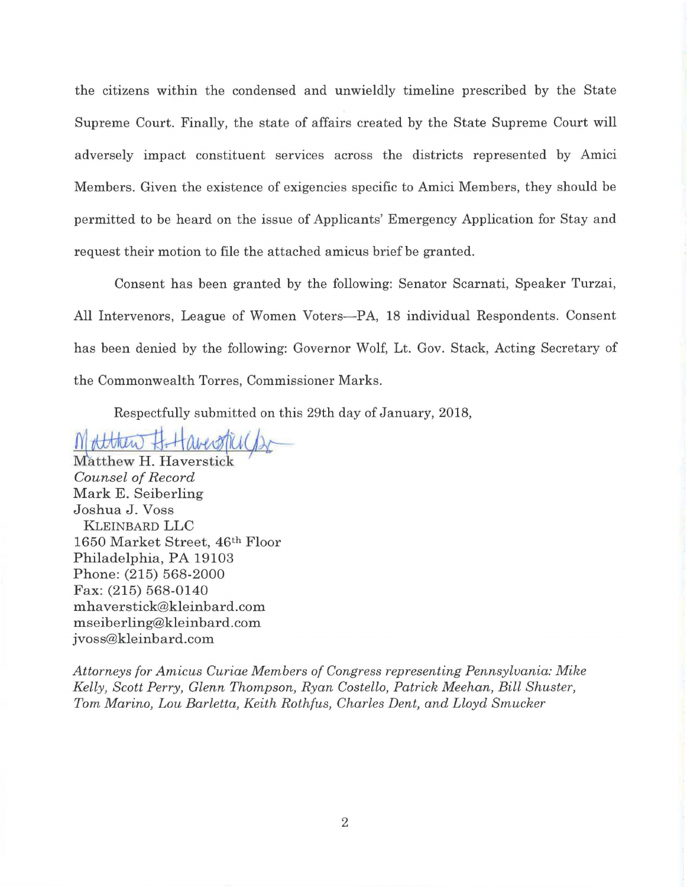the citizens within the condensed and unwieldly timeline prescribed by the State Supreme Court. Finally, the state of affairs created by the State Supreme Court will adversely impact constituent services across the districts represented by Amici Members. Given the existence of exigencies specific to Amici Members, they should be permitted to be heard on the issue of Applicants' Emergency Application for Stay and request their motion to file the attached amicus brief be granted.

Consent has been granted by the following: Senator Scarnati, Speaker Turzai, All Intervenors, League of Women Voters-PA, 18 individual Respondents. Consent has been denied by the following: Governor Wolf, Lt. Gov. Stack, Acting Secretary of the Commonwealth Torres, Commissioner Marks.

Respectfully submitted on this 29th day of January, 2018,

*~A~c)~* 

Matthew H. Haverstick *Counsel of Record*  Mark E. Seiberling Joshua J. Voss KLEINBARD LLC 1650 Market Street, 46th Floor Philadelphia, PA 19103 Phone: (215) 568-2000 Fax: (215) 568-0140 mhaverstick@kleinbard.com mseiberling@kleinbard.com jvoss@kleinbard.com

*Attorneys for Amicus Curiae Members of Congress representing Pennsylvania: Mike Kelly, Scott Perry, Glenn Thompson, Ryan Costello, Patrick Meehan, Bill Shuster, Tom Marino, Lou Barletta, Keith Rothfus, Charles Dent, and Lloyd Smucker*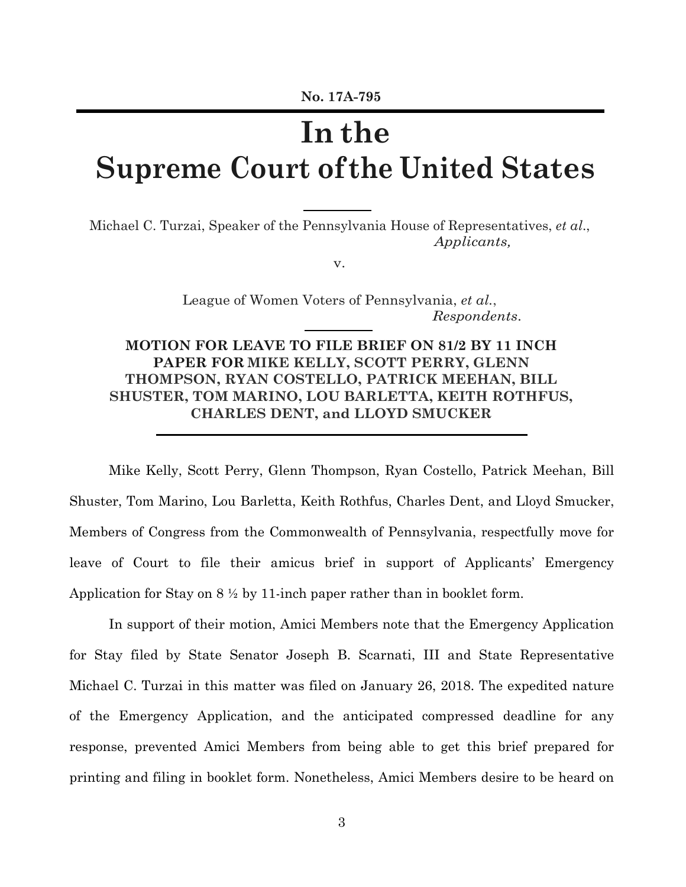# **In the Supreme Court of the United States**

Michael C. Turzai, Speaker of the Pennsylvania House of Representatives, *et al*., *Applicants,*

v.

League of Women Voters of Pennsylvania, *et al.*, *Respondents*.

### **MOTION FOR LEAVE TO FILE BRIEF ON 81/2 BY 11 INCH PAPER FOR MIKE KELLY, SCOTT PERRY, GLENN THOMPSON, RYAN COSTELLO, PATRICK MEEHAN, BILL SHUSTER, TOM MARINO, LOU BARLETTA, KEITH ROTHFUS, CHARLES DENT, and LLOYD SMUCKER**

Mike Kelly, Scott Perry, Glenn Thompson, Ryan Costello, Patrick Meehan, Bill Shuster, Tom Marino, Lou Barletta, Keith Rothfus, Charles Dent, and Lloyd Smucker, Members of Congress from the Commonwealth of Pennsylvania, respectfully move for leave of Court to file their amicus brief in support of Applicants' Emergency Application for Stay on  $8\frac{1}{2}$  by 11-inch paper rather than in booklet form.

In support of their motion, Amici Members note that the Emergency Application for Stay filed by State Senator Joseph B. Scarnati, III and State Representative Michael C. Turzai in this matter was filed on January 26, 2018. The expedited nature of the Emergency Application, and the anticipated compressed deadline for any response, prevented Amici Members from being able to get this brief prepared for printing and filing in booklet form. Nonetheless, Amici Members desire to be heard on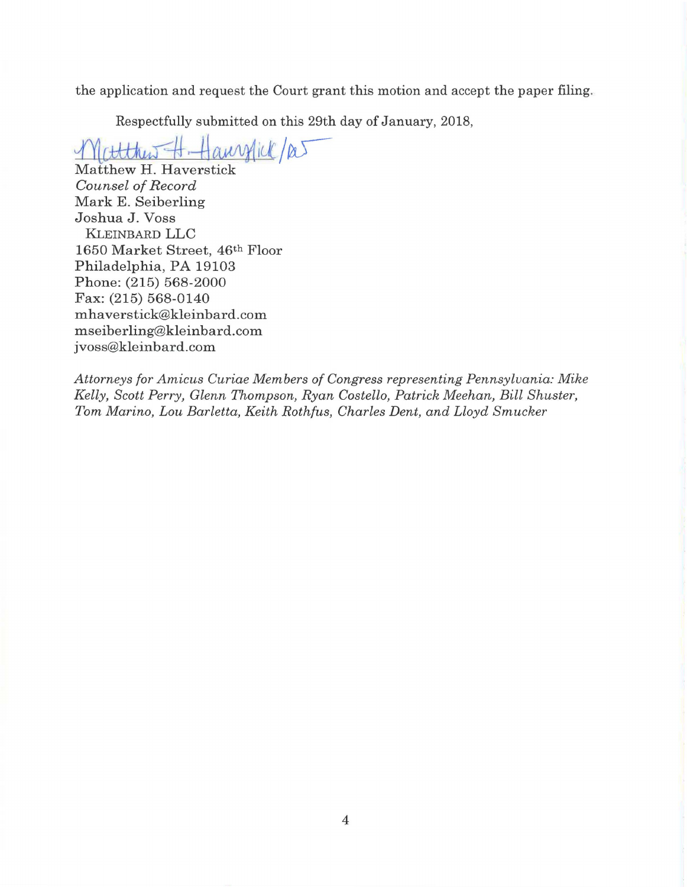the application and request the Court grant this motion and accept the paper filing.

Respectfully submitted on this 29th day of January, 2018,<br>  $\mathcal{N}(t$ ttthus  $\mathcal{N}$ .  $\mathcal{N}(t)$  and  $\mathcal{N}(t)$ 

Matthew H. Haverstick *Counsel of Record*  Mark E. Seiberling Joshua J. Voss KLEINBARD LLC 1650 Market Street, 46th Floor Philadelphia, PA 19103 Phone: (215) 568-2000 Fax: (215) 568-0140 mhaverstick@kleinbard.com mseiberling@kleinbard.com jvoss@kleinbard.com

*Attorneys for Amicus Curiae Members of Congress representing Pennsylvania: Mike Kelly, Scott Perry, Glenn Thompson, Ryan Costello, Patrick Meehan, Bill Shuster, Tom Marino, Lou Barletta, Keith Rothfus, Charles Dent, and Lloyd Smucker*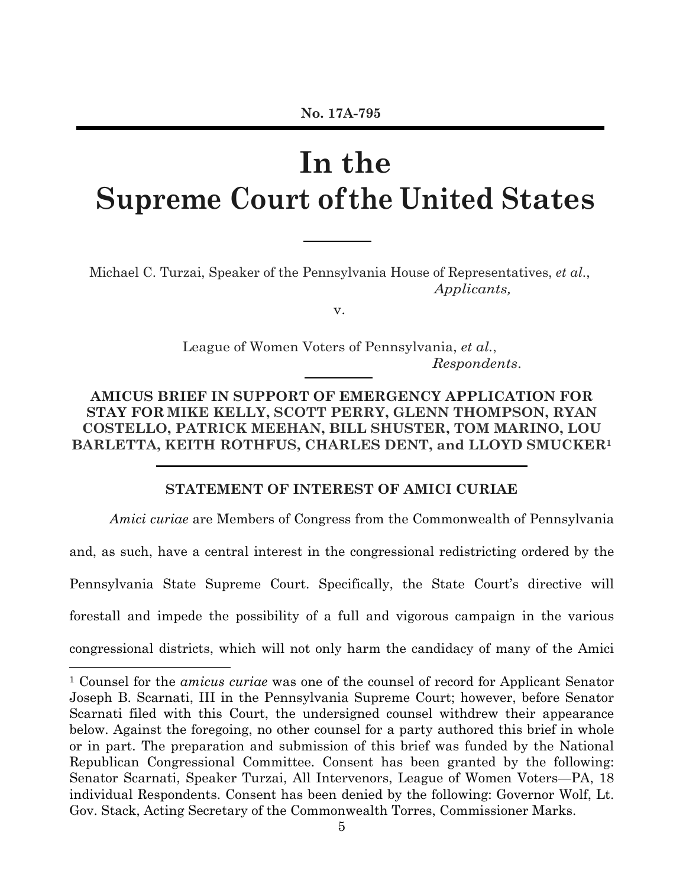# **In the Supreme Court of the United States**

Michael C. Turzai, Speaker of the Pennsylvania House of Representatives, *et al*., *Applicants,*

v.

League of Women Voters of Pennsylvania, *et al.*, *Respondents*.

**AMICUS BRIEF IN SUPPORT OF EMERGENCY APPLICATION FOR STAY FOR MIKE KELLY, SCOTT PERRY, GLENN THOMPSON, RYAN COSTELLO, PATRICK MEEHAN, BILL SHUSTER, TOM MARINO, LOU BARLETTA, KEITH ROTHFUS, CHARLES DENT, and LLOYD SMUCKER1**

**STATEMENT OF INTEREST OF AMICI CURIAE**

*Amici curiae* are Members of Congress from the Commonwealth of Pennsylvania

and, as such, have a central interest in the congressional redistricting ordered by the

Pennsylvania State Supreme Court. Specifically, the State Court's directive will

forestall and impede the possibility of a full and vigorous campaign in the various

congressional districts, which will not only harm the candidacy of many of the Amici

 $\overline{a}$ 

<sup>1</sup> Counsel for the *amicus curiae* was one of the counsel of record for Applicant Senator Joseph B. Scarnati, III in the Pennsylvania Supreme Court; however, before Senator Scarnati filed with this Court, the undersigned counsel withdrew their appearance below. Against the foregoing, no other counsel for a party authored this brief in whole or in part. The preparation and submission of this brief was funded by the National Republican Congressional Committee. Consent has been granted by the following: Senator Scarnati, Speaker Turzai, All Intervenors, League of Women Voters—PA, 18 individual Respondents. Consent has been denied by the following: Governor Wolf, Lt. Gov. Stack, Acting Secretary of the Commonwealth Torres, Commissioner Marks.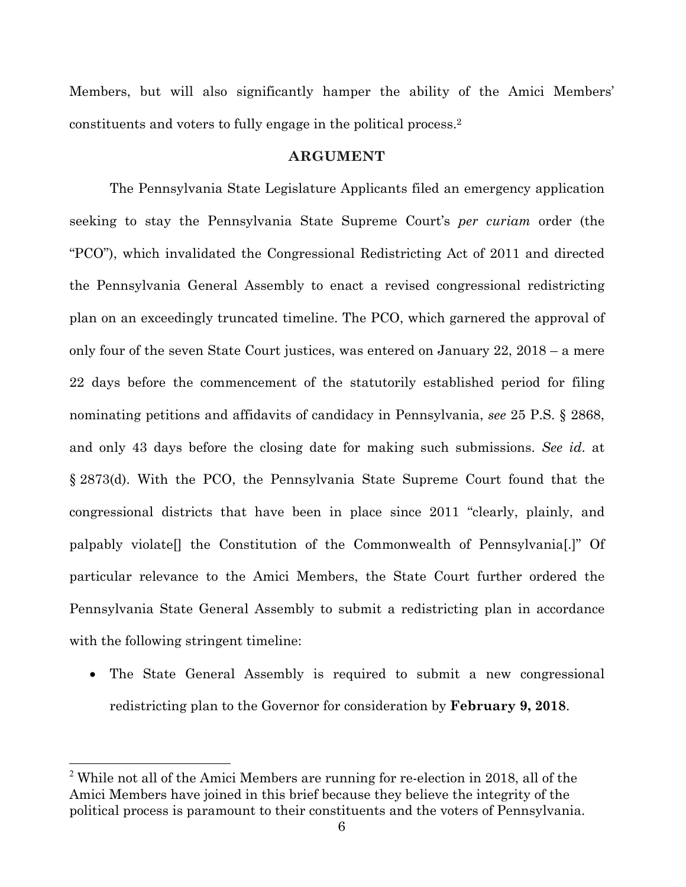Members, but will also significantly hamper the ability of the Amici Members' constituents and voters to fully engage in the political process.2

#### **ARGUMENT**

The Pennsylvania State Legislature Applicants filed an emergency application seeking to stay the Pennsylvania State Supreme Court's *per curiam* order (the "PCO"), which invalidated the Congressional Redistricting Act of 2011 and directed the Pennsylvania General Assembly to enact a revised congressional redistricting plan on an exceedingly truncated timeline. The PCO, which garnered the approval of only four of the seven State Court justices, was entered on January 22, 2018 – a mere 22 days before the commencement of the statutorily established period for filing nominating petitions and affidavits of candidacy in Pennsylvania, *see* 25 P.S. § 2868, and only 43 days before the closing date for making such submissions. *See id*. at § 2873(d). With the PCO, the Pennsylvania State Supreme Court found that the congressional districts that have been in place since 2011 "clearly, plainly, and palpably violate[] the Constitution of the Commonwealth of Pennsylvania[.]" Of particular relevance to the Amici Members, the State Court further ordered the Pennsylvania State General Assembly to submit a redistricting plan in accordance with the following stringent timeline:

 The State General Assembly is required to submit a new congressional redistricting plan to the Governor for consideration by **February 9, 2018**.

 $\overline{a}$ 

 $2$ <sup>2</sup> While not all of the Amici Members are running for re-election in 2018, all of the Amici Members have joined in this brief because they believe the integrity of the political process is paramount to their constituents and the voters of Pennsylvania.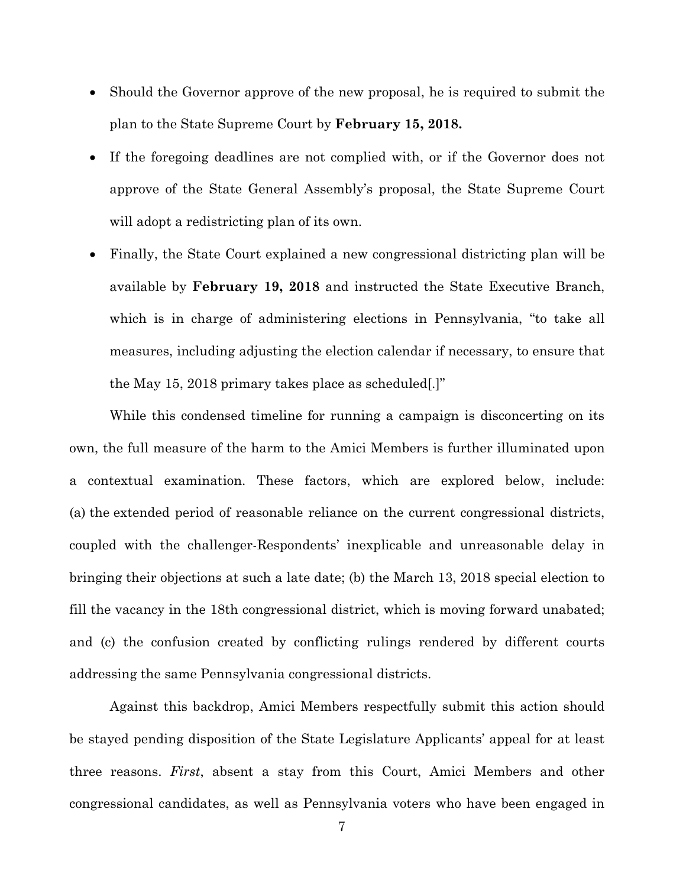- Should the Governor approve of the new proposal, he is required to submit the plan to the State Supreme Court by **February 15, 2018.**
- If the foregoing deadlines are not complied with, or if the Governor does not approve of the State General Assembly's proposal, the State Supreme Court will adopt a redistricting plan of its own.
- Finally, the State Court explained a new congressional districting plan will be available by **February 19, 2018** and instructed the State Executive Branch, which is in charge of administering elections in Pennsylvania, "to take all measures, including adjusting the election calendar if necessary, to ensure that the May 15, 2018 primary takes place as scheduled[.]"

While this condensed timeline for running a campaign is disconcerting on its own, the full measure of the harm to the Amici Members is further illuminated upon a contextual examination. These factors, which are explored below, include: (a) the extended period of reasonable reliance on the current congressional districts, coupled with the challenger-Respondents' inexplicable and unreasonable delay in bringing their objections at such a late date; (b) the March 13, 2018 special election to fill the vacancy in the 18th congressional district, which is moving forward unabated; and (c) the confusion created by conflicting rulings rendered by different courts addressing the same Pennsylvania congressional districts.

Against this backdrop, Amici Members respectfully submit this action should be stayed pending disposition of the State Legislature Applicants' appeal for at least three reasons. *First*, absent a stay from this Court, Amici Members and other congressional candidates, as well as Pennsylvania voters who have been engaged in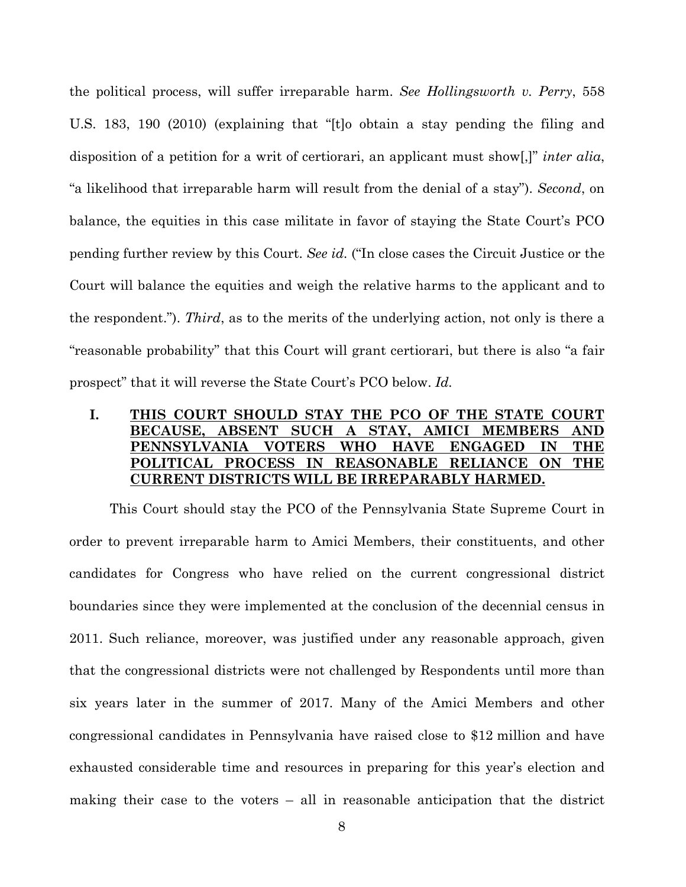the political process, will suffer irreparable harm. *See Hollingsworth v. Perry*, 558 U.S. 183, 190 (2010) (explaining that "[t]o obtain a stay pending the filing and disposition of a petition for a writ of certiorari, an applicant must show[,]" *inter alia*, "a likelihood that irreparable harm will result from the denial of a stay"). *Second*, on balance, the equities in this case militate in favor of staying the State Court's PCO pending further review by this Court. *See id.* ("In close cases the Circuit Justice or the Court will balance the equities and weigh the relative harms to the applicant and to the respondent."). *Third*, as to the merits of the underlying action, not only is there a "reasonable probability" that this Court will grant certiorari, but there is also "a fair prospect" that it will reverse the State Court's PCO below. *Id.* 

### **I. THIS COURT SHOULD STAY THE PCO OF THE STATE COURT BECAUSE, ABSENT SUCH A STAY, AMICI MEMBERS AND PENNSYLVANIA VOTERS WHO HAVE ENGAGED IN THE POLITICAL PROCESS IN REASONABLE RELIANCE ON THE CURRENT DISTRICTS WILL BE IRREPARABLY HARMED.**

This Court should stay the PCO of the Pennsylvania State Supreme Court in order to prevent irreparable harm to Amici Members, their constituents, and other candidates for Congress who have relied on the current congressional district boundaries since they were implemented at the conclusion of the decennial census in 2011. Such reliance, moreover, was justified under any reasonable approach, given that the congressional districts were not challenged by Respondents until more than six years later in the summer of 2017. Many of the Amici Members and other congressional candidates in Pennsylvania have raised close to \$12 million and have exhausted considerable time and resources in preparing for this year's election and making their case to the voters – all in reasonable anticipation that the district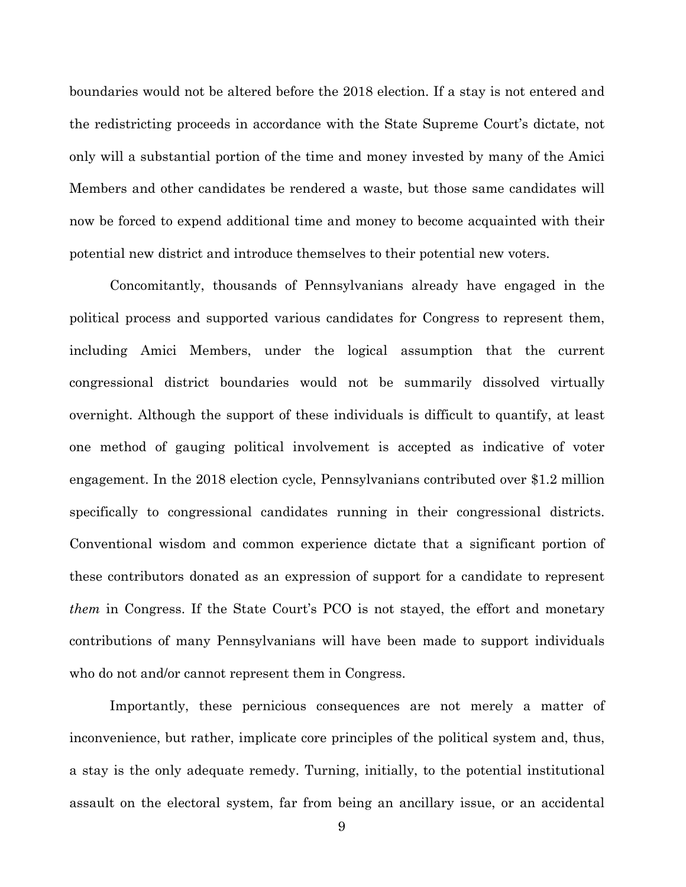boundaries would not be altered before the 2018 election. If a stay is not entered and the redistricting proceeds in accordance with the State Supreme Court's dictate, not only will a substantial portion of the time and money invested by many of the Amici Members and other candidates be rendered a waste, but those same candidates will now be forced to expend additional time and money to become acquainted with their potential new district and introduce themselves to their potential new voters.

Concomitantly, thousands of Pennsylvanians already have engaged in the political process and supported various candidates for Congress to represent them, including Amici Members, under the logical assumption that the current congressional district boundaries would not be summarily dissolved virtually overnight. Although the support of these individuals is difficult to quantify, at least one method of gauging political involvement is accepted as indicative of voter engagement. In the 2018 election cycle, Pennsylvanians contributed over \$1.2 million specifically to congressional candidates running in their congressional districts. Conventional wisdom and common experience dictate that a significant portion of these contributors donated as an expression of support for a candidate to represent *them* in Congress. If the State Court's PCO is not stayed, the effort and monetary contributions of many Pennsylvanians will have been made to support individuals who do not and/or cannot represent them in Congress.

Importantly, these pernicious consequences are not merely a matter of inconvenience, but rather, implicate core principles of the political system and, thus, a stay is the only adequate remedy. Turning, initially, to the potential institutional assault on the electoral system, far from being an ancillary issue, or an accidental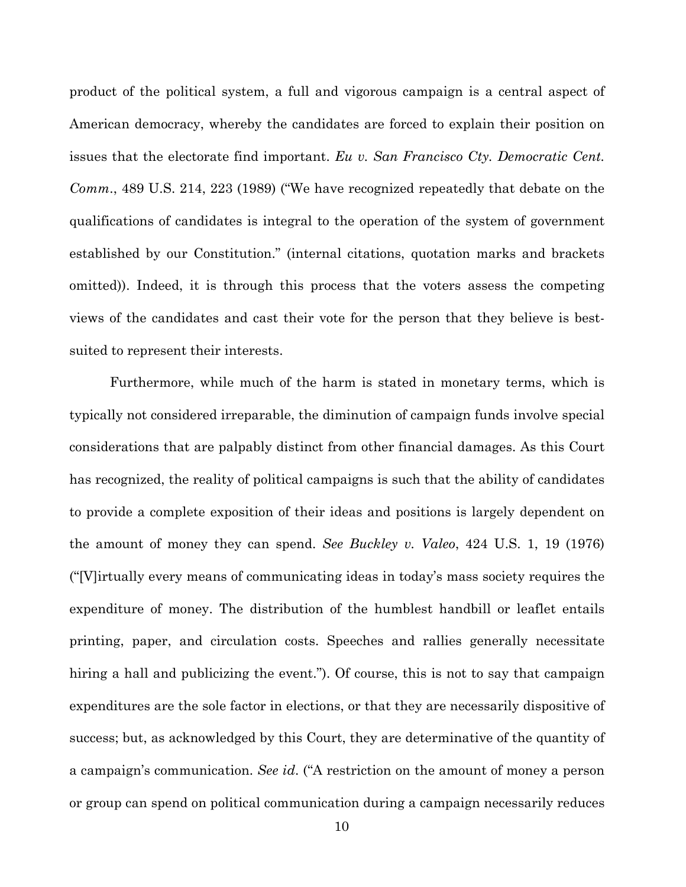product of the political system, a full and vigorous campaign is a central aspect of American democracy, whereby the candidates are forced to explain their position on issues that the electorate find important. *Eu v. San Francisco Cty. Democratic Cent. Comm*., 489 U.S. 214, 223 (1989) ("We have recognized repeatedly that debate on the qualifications of candidates is integral to the operation of the system of government established by our Constitution." (internal citations, quotation marks and brackets omitted)). Indeed, it is through this process that the voters assess the competing views of the candidates and cast their vote for the person that they believe is bestsuited to represent their interests.

Furthermore, while much of the harm is stated in monetary terms, which is typically not considered irreparable, the diminution of campaign funds involve special considerations that are palpably distinct from other financial damages. As this Court has recognized, the reality of political campaigns is such that the ability of candidates to provide a complete exposition of their ideas and positions is largely dependent on the amount of money they can spend. *See Buckley v. Valeo*, 424 U.S. 1, 19 (1976) ("[V]irtually every means of communicating ideas in today's mass society requires the expenditure of money. The distribution of the humblest handbill or leaflet entails printing, paper, and circulation costs. Speeches and rallies generally necessitate hiring a hall and publicizing the event."). Of course, this is not to say that campaign expenditures are the sole factor in elections, or that they are necessarily dispositive of success; but, as acknowledged by this Court, they are determinative of the quantity of a campaign's communication. *See id*. ("A restriction on the amount of money a person or group can spend on political communication during a campaign necessarily reduces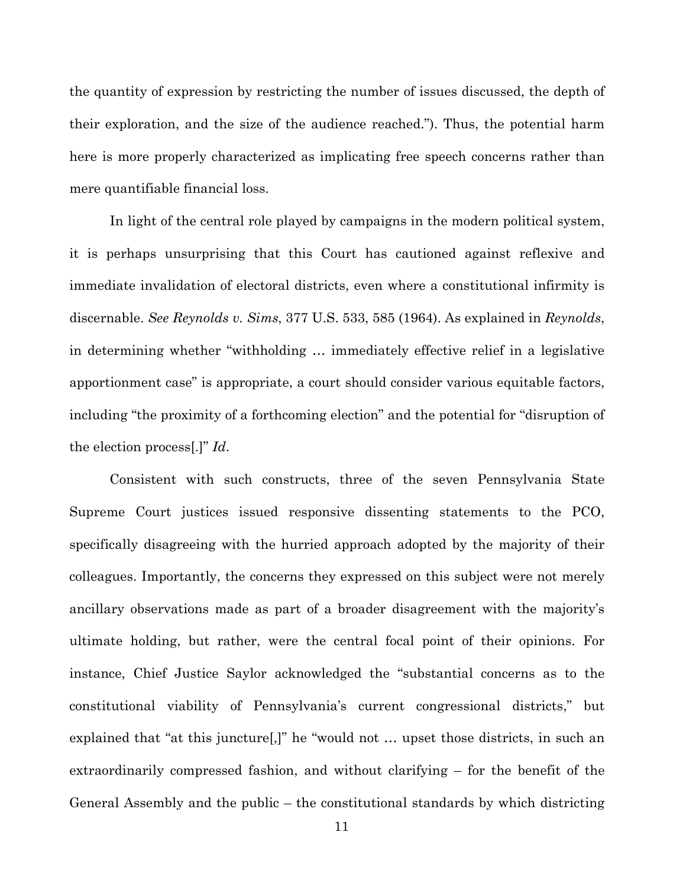the quantity of expression by restricting the number of issues discussed, the depth of their exploration, and the size of the audience reached."). Thus, the potential harm here is more properly characterized as implicating free speech concerns rather than mere quantifiable financial loss.

In light of the central role played by campaigns in the modern political system, it is perhaps unsurprising that this Court has cautioned against reflexive and immediate invalidation of electoral districts, even where a constitutional infirmity is discernable. *See Reynolds v. Sims*, 377 U.S. 533, 585 (1964). As explained in *Reynolds*, in determining whether "withholding … immediately effective relief in a legislative apportionment case" is appropriate, a court should consider various equitable factors, including "the proximity of a forthcoming election" and the potential for "disruption of the election process[.]" *Id*.

Consistent with such constructs, three of the seven Pennsylvania State Supreme Court justices issued responsive dissenting statements to the PCO, specifically disagreeing with the hurried approach adopted by the majority of their colleagues. Importantly, the concerns they expressed on this subject were not merely ancillary observations made as part of a broader disagreement with the majority's ultimate holding, but rather, were the central focal point of their opinions. For instance, Chief Justice Saylor acknowledged the "substantial concerns as to the constitutional viability of Pennsylvania's current congressional districts," but explained that "at this juncture[,]" he "would not … upset those districts, in such an extraordinarily compressed fashion, and without clarifying – for the benefit of the General Assembly and the public – the constitutional standards by which districting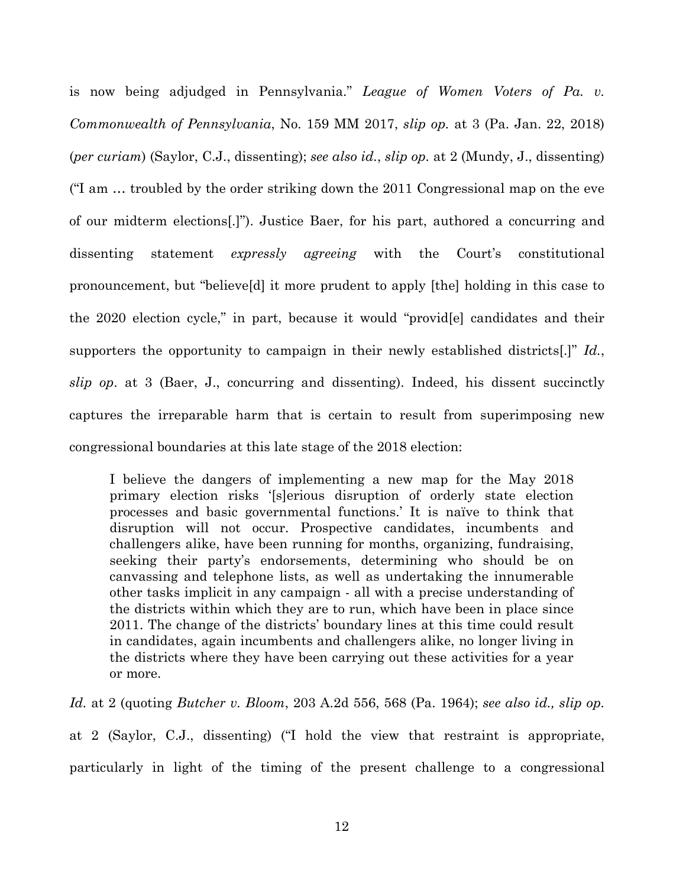is now being adjudged in Pennsylvania." *League of Women Voters of Pa. v. Commonwealth of Pennsylvania*, No. 159 MM 2017, *slip op.* at 3 (Pa. Jan. 22, 2018) (*per curiam*) (Saylor, C.J., dissenting); *see also id.*, *slip op.* at 2 (Mundy, J., dissenting) ("I am … troubled by the order striking down the 2011 Congressional map on the eve of our midterm elections[.]"). Justice Baer, for his part, authored a concurring and dissenting statement *expressly agreeing* with the Court's constitutional pronouncement, but "believe[d] it more prudent to apply [the] holding in this case to the 2020 election cycle," in part, because it would "provid[e] candidates and their supporters the opportunity to campaign in their newly established districts[.]" *Id.*, *slip op*. at 3 (Baer, J., concurring and dissenting). Indeed, his dissent succinctly captures the irreparable harm that is certain to result from superimposing new congressional boundaries at this late stage of the 2018 election:

I believe the dangers of implementing a new map for the May 2018 primary election risks '[s]erious disruption of orderly state election processes and basic governmental functions.' It is naïve to think that disruption will not occur. Prospective candidates, incumbents and challengers alike, have been running for months, organizing, fundraising, seeking their party's endorsements, determining who should be on canvassing and telephone lists, as well as undertaking the innumerable other tasks implicit in any campaign - all with a precise understanding of the districts within which they are to run, which have been in place since 2011. The change of the districts' boundary lines at this time could result in candidates, again incumbents and challengers alike, no longer living in the districts where they have been carrying out these activities for a year or more.

*Id.* at 2 (quoting *Butcher v. Bloom*, 203 A.2d 556, 568 (Pa. 1964); *see also id., slip op.* 

at 2 (Saylor, C.J., dissenting) ("I hold the view that restraint is appropriate, particularly in light of the timing of the present challenge to a congressional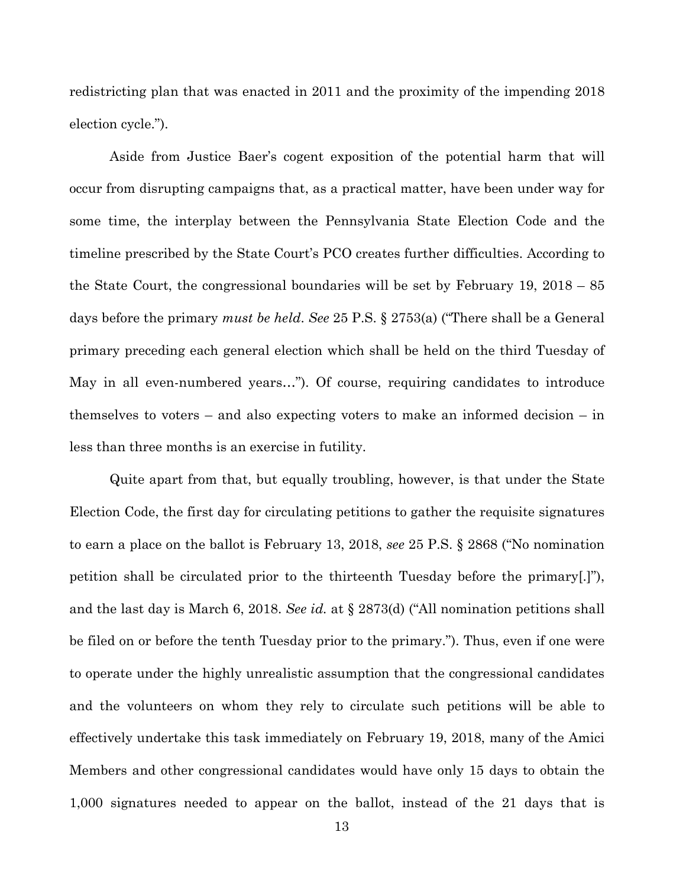redistricting plan that was enacted in 2011 and the proximity of the impending 2018 election cycle.").

Aside from Justice Baer's cogent exposition of the potential harm that will occur from disrupting campaigns that, as a practical matter, have been under way for some time, the interplay between the Pennsylvania State Election Code and the timeline prescribed by the State Court's PCO creates further difficulties. According to the State Court, the congressional boundaries will be set by February 19, 2018 – 85 days before the primary *must be held*. *See* 25 P.S. § 2753(a) ("There shall be a General primary preceding each general election which shall be held on the third Tuesday of May in all even-numbered years…"). Of course, requiring candidates to introduce themselves to voters – and also expecting voters to make an informed decision – in less than three months is an exercise in futility.

Quite apart from that, but equally troubling, however, is that under the State Election Code, the first day for circulating petitions to gather the requisite signatures to earn a place on the ballot is February 13, 2018, *see* 25 P.S. § 2868 ("No nomination petition shall be circulated prior to the thirteenth Tuesday before the primary[.]"), and the last day is March 6, 2018. *See id.* at § 2873(d) ("All nomination petitions shall be filed on or before the tenth Tuesday prior to the primary."). Thus, even if one were to operate under the highly unrealistic assumption that the congressional candidates and the volunteers on whom they rely to circulate such petitions will be able to effectively undertake this task immediately on February 19, 2018, many of the Amici Members and other congressional candidates would have only 15 days to obtain the 1,000 signatures needed to appear on the ballot, instead of the 21 days that is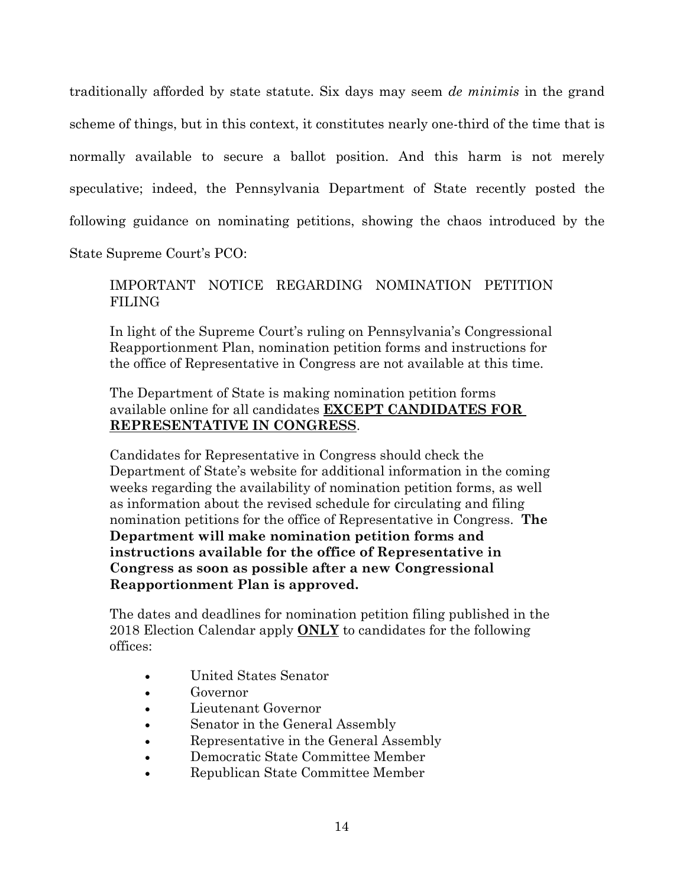traditionally afforded by state statute. Six days may seem *de minimis* in the grand scheme of things, but in this context, it constitutes nearly one-third of the time that is normally available to secure a ballot position. And this harm is not merely speculative; indeed, the Pennsylvania Department of State recently posted the following guidance on nominating petitions, showing the chaos introduced by the

State Supreme Court's PCO:

### IMPORTANT NOTICE REGARDING NOMINATION PETITION FILING

In light of the Supreme Court's ruling on Pennsylvania's Congressional Reapportionment Plan, nomination petition forms and instructions for the office of Representative in Congress are not available at this time.

#### The Department of State is making nomination petition forms available online for all candidates **EXCEPT CANDIDATES FOR REPRESENTATIVE IN CONGRESS**.

Candidates for Representative in Congress should check the Department of State's website for additional information in the coming weeks regarding the availability of nomination petition forms, as well as information about the revised schedule for circulating and filing nomination petitions for the office of Representative in Congress. **The Department will make nomination petition forms and instructions available for the office of Representative in Congress as soon as possible after a new Congressional Reapportionment Plan is approved.**

The dates and deadlines for nomination petition filing published in the 2018 Election Calendar apply **ONLY** to candidates for the following offices:

- United States Senator
- Governor
- Lieutenant Governor
- Senator in the General Assembly
- Representative in the General Assembly
- Democratic State Committee Member
- Republican State Committee Member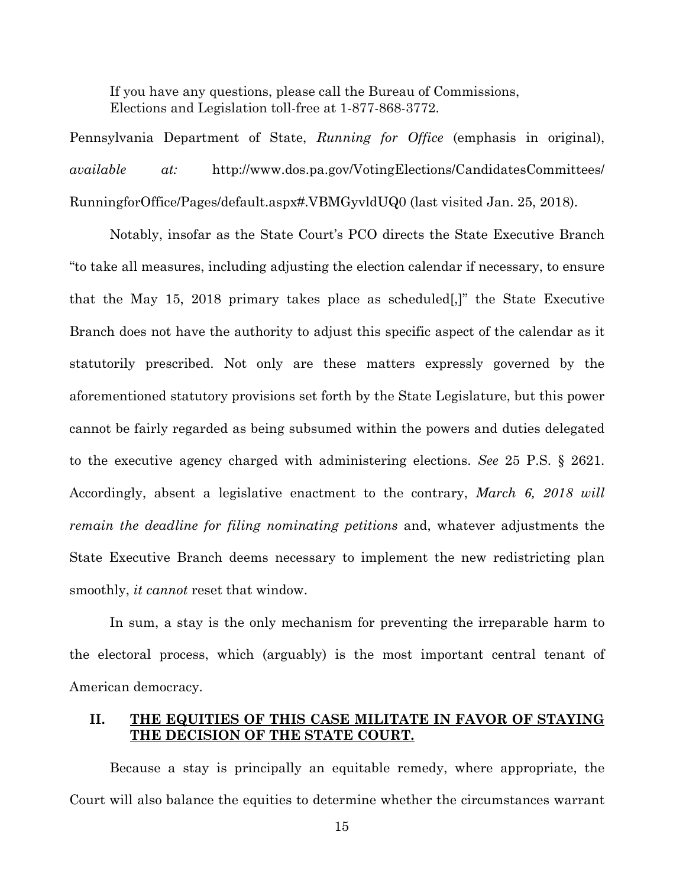If you have any questions, please call the Bureau of Commissions, Elections and Legislation toll-free at 1-877-868-3772.

Pennsylvania Department of State, *Running for Office* (emphasis in original), *available at:* http://www.dos.pa.gov/VotingElections/CandidatesCommittees/ RunningforOffice/Pages/default.aspx#.VBMGyvldUQ0 (last visited Jan. 25, 2018).

Notably, insofar as the State Court's PCO directs the State Executive Branch "to take all measures, including adjusting the election calendar if necessary, to ensure that the May 15, 2018 primary takes place as scheduled[,]" the State Executive Branch does not have the authority to adjust this specific aspect of the calendar as it statutorily prescribed. Not only are these matters expressly governed by the aforementioned statutory provisions set forth by the State Legislature, but this power cannot be fairly regarded as being subsumed within the powers and duties delegated to the executive agency charged with administering elections. *See* 25 P.S. § 2621. Accordingly, absent a legislative enactment to the contrary, *March 6, 2018 will remain the deadline for filing nominating petitions* and, whatever adjustments the State Executive Branch deems necessary to implement the new redistricting plan smoothly, *it cannot* reset that window.

In sum, a stay is the only mechanism for preventing the irreparable harm to the electoral process, which (arguably) is the most important central tenant of American democracy.

#### **II. THE EQUITIES OF THIS CASE MILITATE IN FAVOR OF STAYING THE DECISION OF THE STATE COURT.**

Because a stay is principally an equitable remedy, where appropriate, the Court will also balance the equities to determine whether the circumstances warrant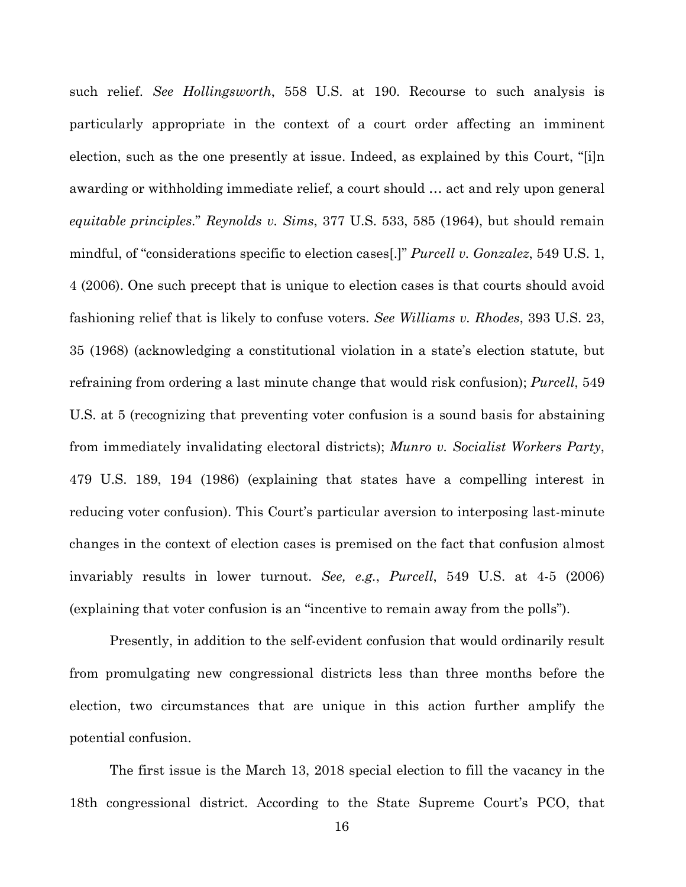such relief. *See Hollingsworth*, 558 U.S. at 190. Recourse to such analysis is particularly appropriate in the context of a court order affecting an imminent election, such as the one presently at issue. Indeed, as explained by this Court, "[i]n awarding or withholding immediate relief, a court should … act and rely upon general *equitable principles*." *Reynolds v. Sims*, 377 U.S. 533, 585 (1964), but should remain mindful, of "considerations specific to election cases[.]" *Purcell v. Gonzalez*, 549 U.S. 1, 4 (2006). One such precept that is unique to election cases is that courts should avoid fashioning relief that is likely to confuse voters. *See Williams v. Rhodes*, 393 U.S. 23, 35 (1968) (acknowledging a constitutional violation in a state's election statute, but refraining from ordering a last minute change that would risk confusion); *Purcell*, 549 U.S. at 5 (recognizing that preventing voter confusion is a sound basis for abstaining from immediately invalidating electoral districts); *Munro v. Socialist Workers Party*, 479 U.S. 189, 194 (1986) (explaining that states have a compelling interest in reducing voter confusion). This Court's particular aversion to interposing last-minute changes in the context of election cases is premised on the fact that confusion almost invariably results in lower turnout. *See, e.g.*, *Purcell*, 549 U.S. at 4-5 (2006) (explaining that voter confusion is an "incentive to remain away from the polls").

Presently, in addition to the self-evident confusion that would ordinarily result from promulgating new congressional districts less than three months before the election, two circumstances that are unique in this action further amplify the potential confusion.

The first issue is the March 13, 2018 special election to fill the vacancy in the 18th congressional district. According to the State Supreme Court's PCO, that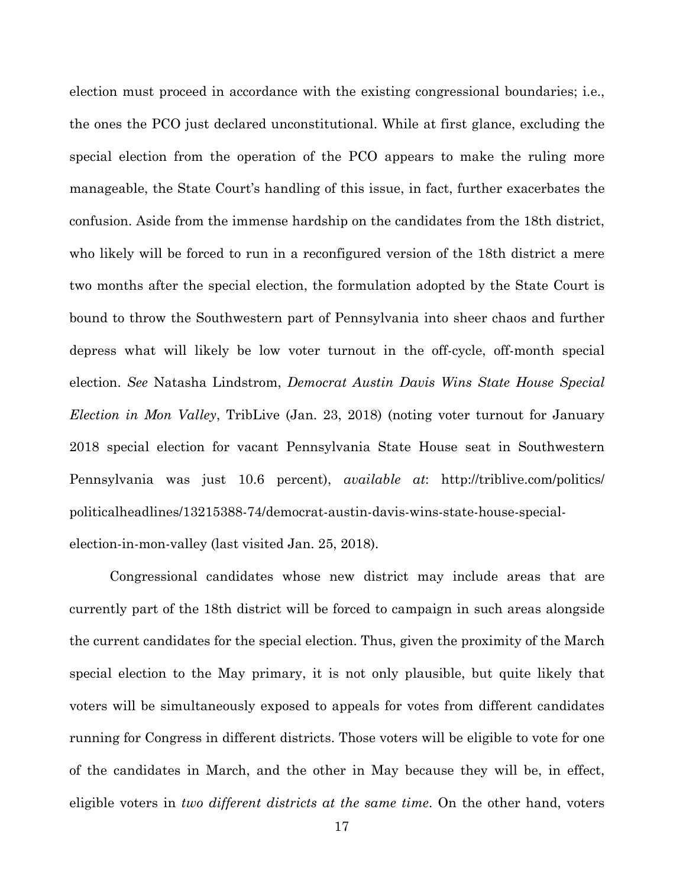election must proceed in accordance with the existing congressional boundaries; i.e., the ones the PCO just declared unconstitutional. While at first glance, excluding the special election from the operation of the PCO appears to make the ruling more manageable, the State Court's handling of this issue, in fact, further exacerbates the confusion. Aside from the immense hardship on the candidates from the 18th district, who likely will be forced to run in a reconfigured version of the 18th district a mere two months after the special election, the formulation adopted by the State Court is bound to throw the Southwestern part of Pennsylvania into sheer chaos and further depress what will likely be low voter turnout in the off-cycle, off-month special election. *See* Natasha Lindstrom, *Democrat Austin Davis Wins State House Special Election in Mon Valley*, TribLive (Jan. 23, 2018) (noting voter turnout for January 2018 special election for vacant Pennsylvania State House seat in Southwestern Pennsylvania was just 10.6 percent), *available at*: http://triblive.com/politics/ politicalheadlines/13215388-74/democrat-austin-davis-wins-state-house-specialelection-in-mon-valley (last visited Jan. 25, 2018).

Congressional candidates whose new district may include areas that are currently part of the 18th district will be forced to campaign in such areas alongside the current candidates for the special election. Thus, given the proximity of the March special election to the May primary, it is not only plausible, but quite likely that voters will be simultaneously exposed to appeals for votes from different candidates running for Congress in different districts. Those voters will be eligible to vote for one of the candidates in March, and the other in May because they will be, in effect, eligible voters in *two different districts at the same time*. On the other hand, voters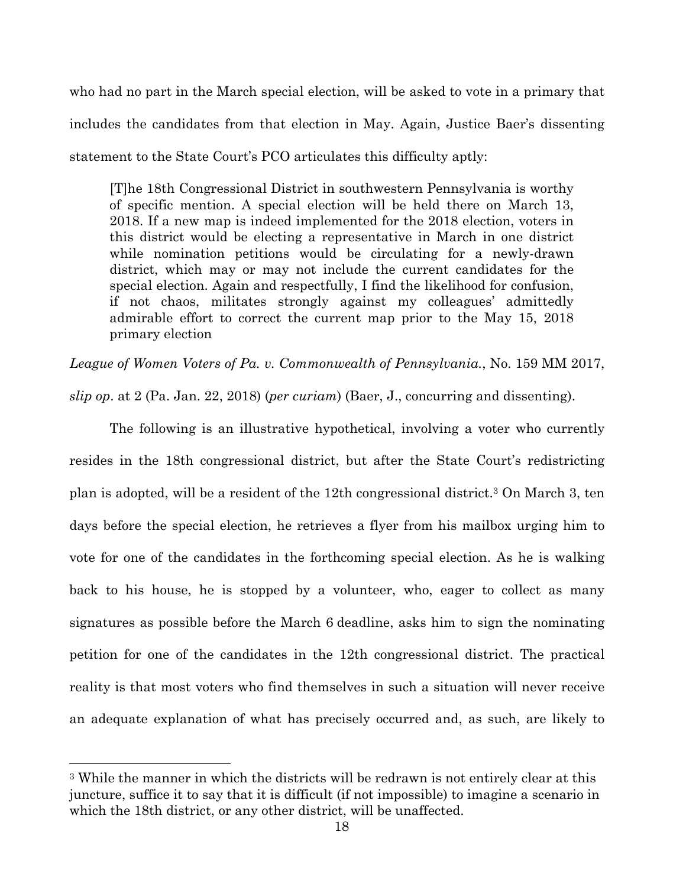who had no part in the March special election, will be asked to vote in a primary that includes the candidates from that election in May. Again, Justice Baer's dissenting statement to the State Court's PCO articulates this difficulty aptly:

[T]he 18th Congressional District in southwestern Pennsylvania is worthy of specific mention. A special election will be held there on March 13, 2018. If a new map is indeed implemented for the 2018 election, voters in this district would be electing a representative in March in one district while nomination petitions would be circulating for a newly-drawn district, which may or may not include the current candidates for the special election. Again and respectfully, I find the likelihood for confusion, if not chaos, militates strongly against my colleagues' admittedly admirable effort to correct the current map prior to the May 15, 2018 primary election

*League of Women Voters of Pa. v. Commonwealth of Pennsylvania.*, No. 159 MM 2017,

*slip op*. at 2 (Pa. Jan. 22, 2018) (*per curiam*) (Baer, J., concurring and dissenting).

The following is an illustrative hypothetical, involving a voter who currently resides in the 18th congressional district, but after the State Court's redistricting plan is adopted, will be a resident of the 12th congressional district.3 On March 3, ten days before the special election, he retrieves a flyer from his mailbox urging him to vote for one of the candidates in the forthcoming special election. As he is walking back to his house, he is stopped by a volunteer, who, eager to collect as many signatures as possible before the March 6 deadline, asks him to sign the nominating petition for one of the candidates in the 12th congressional district. The practical reality is that most voters who find themselves in such a situation will never receive an adequate explanation of what has precisely occurred and, as such, are likely to

 $\overline{a}$ 

<sup>3</sup> While the manner in which the districts will be redrawn is not entirely clear at this juncture, suffice it to say that it is difficult (if not impossible) to imagine a scenario in which the 18th district, or any other district, will be unaffected.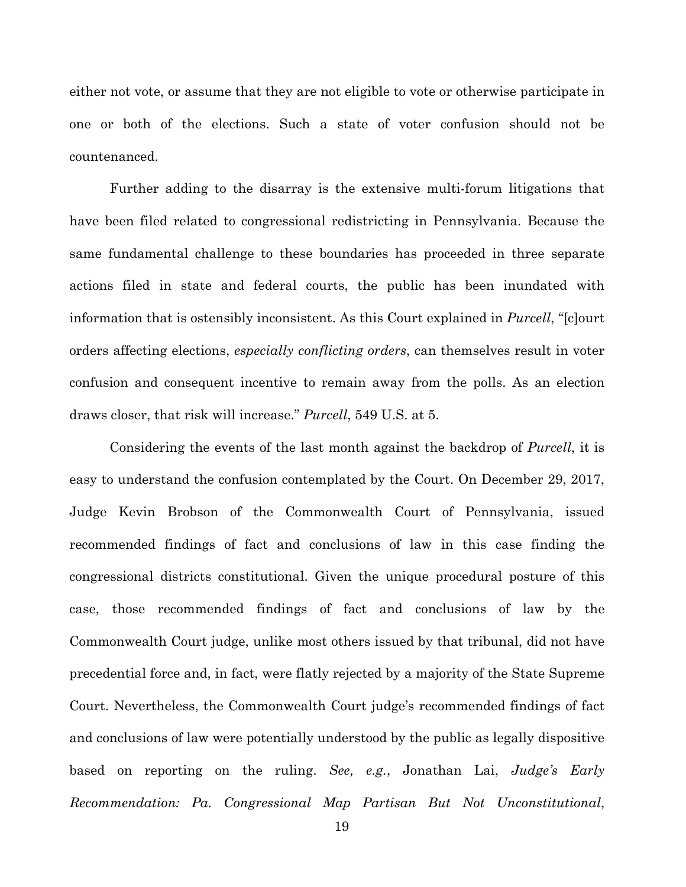either not vote, or assume that they are not eligible to vote or otherwise participate in one or both of the elections. Such a state of voter confusion should not be countenanced.

Further adding to the disarray is the extensive multi-forum litigations that have been filed related to congressional redistricting in Pennsylvania. Because the same fundamental challenge to these boundaries has proceeded in three separate actions filed in state and federal courts, the public has been inundated with information that is ostensibly inconsistent. As this Court explained in *Purcell*, "[c]ourt orders affecting elections, *especially conflicting orders*, can themselves result in voter confusion and consequent incentive to remain away from the polls. As an election draws closer, that risk will increase." *Purcell*, 549 U.S. at 5.

Considering the events of the last month against the backdrop of *Purcell*, it is easy to understand the confusion contemplated by the Court. On December 29, 2017, Judge Kevin Brobson of the Commonwealth Court of Pennsylvania, issued recommended findings of fact and conclusions of law in this case finding the congressional districts constitutional. Given the unique procedural posture of this case, those recommended findings of fact and conclusions of law by the Commonwealth Court judge, unlike most others issued by that tribunal, did not have precedential force and, in fact, were flatly rejected by a majority of the State Supreme Court. Nevertheless, the Commonwealth Court judge's recommended findings of fact and conclusions of law were potentially understood by the public as legally dispositive based on reporting on the ruling. *See, e.g.*, Jonathan Lai, *Judge's Early Recommendation: Pa. Congressional Map Partisan But Not Unconstitutional*,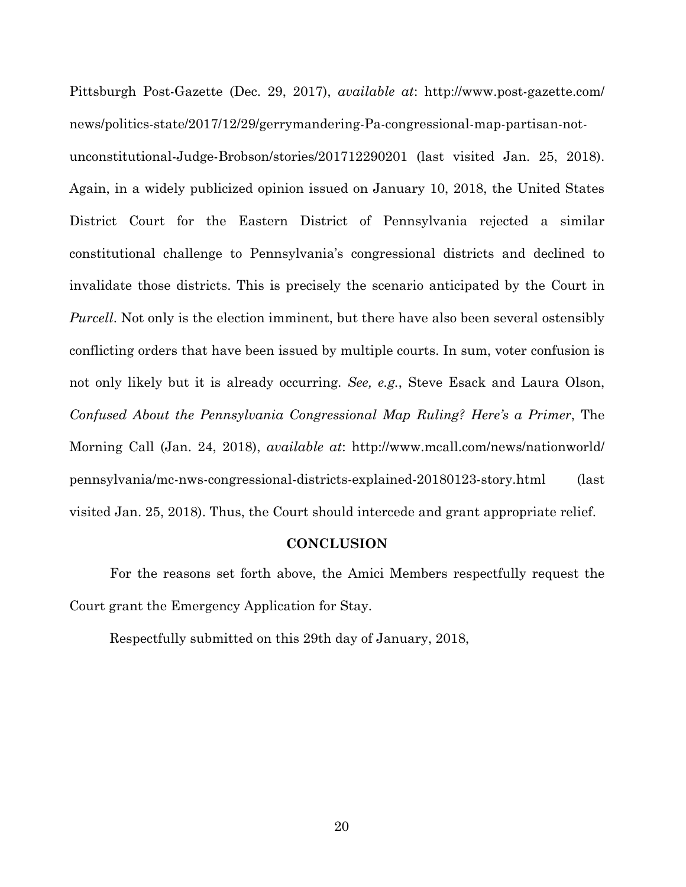Pittsburgh Post-Gazette (Dec. 29, 2017), *available at*: http://www.post-gazette.com/ news/politics-state/2017/12/29/gerrymandering-Pa-congressional-map-partisan-notunconstitutional-Judge-Brobson/stories/201712290201 (last visited Jan. 25, 2018). Again, in a widely publicized opinion issued on January 10, 2018, the United States District Court for the Eastern District of Pennsylvania rejected a similar constitutional challenge to Pennsylvania's congressional districts and declined to invalidate those districts. This is precisely the scenario anticipated by the Court in *Purcell*. Not only is the election imminent, but there have also been several ostensibly conflicting orders that have been issued by multiple courts. In sum, voter confusion is not only likely but it is already occurring. *See, e.g.*, Steve Esack and Laura Olson, *Confused About the Pennsylvania Congressional Map Ruling? Here's a Primer*, The Morning Call (Jan. 24, 2018), *available at*: http://www.mcall.com/news/nationworld/ pennsylvania/mc-nws-congressional-districts-explained-20180123-story.html (last visited Jan. 25, 2018). Thus, the Court should intercede and grant appropriate relief.

#### **CONCLUSION**

For the reasons set forth above, the Amici Members respectfully request the Court grant the Emergency Application for Stay.

Respectfully submitted on this 29th day of January, 2018,